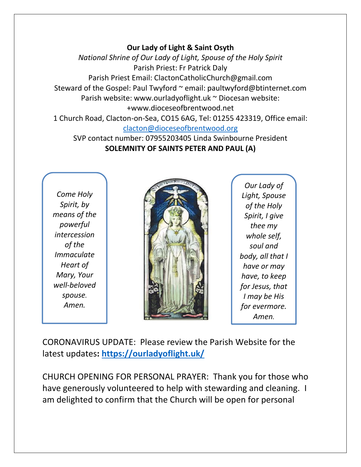## **Our Lady of Light & Saint Osyth**

*National Shrine of Our Lady of Light, Spouse of the Holy Spirit* Parish Priest: Fr Patrick Daly Parish Priest Email: ClactonCatholicChurch@gmail.com Steward of the Gospel: Paul Twyford ~ email: paultwyford@btinternet.com Parish website: www.ourladyoflight.uk ~ Diocesan website: +www.dioceseofbrentwood.net 1 Church Road, Clacton-on-Sea, CO15 6AG, Tel: 01255 423319, Office email:

[clacton@dioceseofbrentwood.org](mailto:clacton@dioceseofbrentwood.org)

SVP contact number: 07955203405 Linda Swinbourne President **SOLEMNITY OF SAINTS PETER AND PAUL (A)**

*Come Holy Spirit, by means of the powerful intercession of the Immaculate Heart of Mary, Your well-beloved spouse. Amen.*



*Our Lady of Light, Spouse of the Holy Spirit, I give thee my whole self, soul and body, all that I have or may have, to keep for Jesus, that I may be His for evermore. Amen.*

CORONAVIRUS UPDATE: Please review the Parish Website for the latest updates**:<https://ourladyoflight.uk/>**

CHURCH OPENING FOR PERSONAL PRAYER: Thank you for those who have generously volunteered to help with stewarding and cleaning. I am delighted to confirm that the Church will be open for personal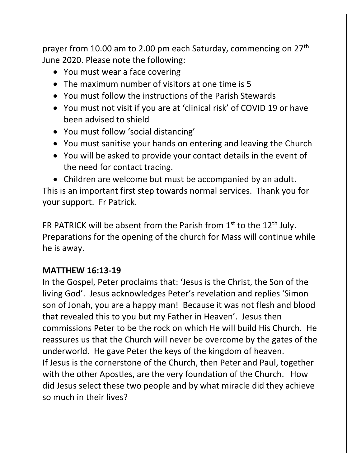prayer from 10.00 am to 2.00 pm each Saturday, commencing on 27th June 2020. Please note the following:

- You must wear a face covering
- The maximum number of visitors at one time is 5
- You must follow the instructions of the Parish Stewards
- You must not visit if you are at 'clinical risk' of COVID 19 or have been advised to shield
- You must follow 'social distancing'
- You must sanitise your hands on entering and leaving the Church
- You will be asked to provide your contact details in the event of the need for contact tracing.

• Children are welcome but must be accompanied by an adult. This is an important first step towards normal services. Thank you for your support. Fr Patrick.

FR PATRICK will be absent from the Parish from  $1<sup>st</sup>$  to the  $12<sup>th</sup>$  July. Preparations for the opening of the church for Mass will continue while he is away.

## **MATTHEW 16:13-19**

In the Gospel, Peter proclaims that: 'Jesus is the Christ, the Son of the living God'. Jesus acknowledges Peter's revelation and replies 'Simon son of Jonah, you are a happy man! Because it was not flesh and blood that revealed this to you but my Father in Heaven'. Jesus then commissions Peter to be the rock on which He will build His Church. He reassures us that the Church will never be overcome by the gates of the underworld. He gave Peter the keys of the kingdom of heaven. If Jesus is the cornerstone of the Church, then Peter and Paul, together with the other Apostles, are the very foundation of the Church. How did Jesus select these two people and by what miracle did they achieve so much in their lives?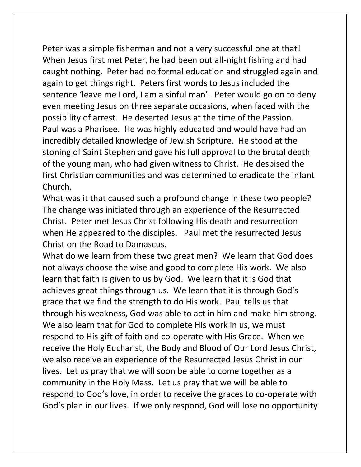Peter was a simple fisherman and not a very successful one at that! When Jesus first met Peter, he had been out all-night fishing and had caught nothing. Peter had no formal education and struggled again and again to get things right. Peters first words to Jesus included the sentence 'leave me Lord, I am a sinful man'. Peter would go on to deny even meeting Jesus on three separate occasions, when faced with the possibility of arrest. He deserted Jesus at the time of the Passion. Paul was a Pharisee. He was highly educated and would have had an incredibly detailed knowledge of Jewish Scripture. He stood at the stoning of Saint Stephen and gave his full approval to the brutal death of the young man, who had given witness to Christ. He despised the first Christian communities and was determined to eradicate the infant Church.

What was it that caused such a profound change in these two people? The change was initiated through an experience of the Resurrected Christ. Peter met Jesus Christ following His death and resurrection when He appeared to the disciples. Paul met the resurrected Jesus Christ on the Road to Damascus.

What do we learn from these two great men? We learn that God does not always choose the wise and good to complete His work. We also learn that faith is given to us by God. We learn that it is God that achieves great things through us. We learn that it is through God's grace that we find the strength to do His work. Paul tells us that through his weakness, God was able to act in him and make him strong. We also learn that for God to complete His work in us, we must respond to His gift of faith and co-operate with His Grace. When we receive the Holy Eucharist, the Body and Blood of Our Lord Jesus Christ, we also receive an experience of the Resurrected Jesus Christ in our lives. Let us pray that we will soon be able to come together as a community in the Holy Mass. Let us pray that we will be able to respond to God's love, in order to receive the graces to co-operate with God's plan in our lives. If we only respond, God will lose no opportunity